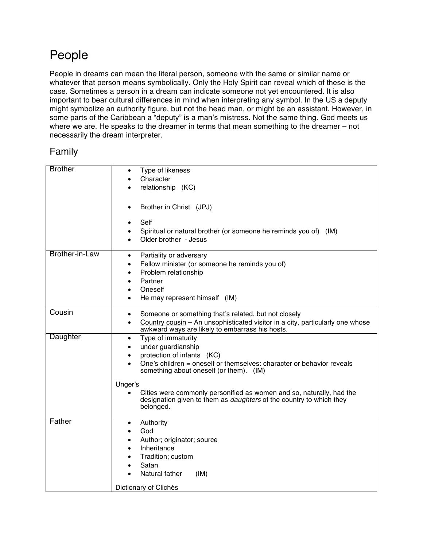## People

People in dreams can mean the literal person, someone with the same or similar name or whatever that person means symbolically. Only the Holy Spirit can reveal which of these is the case. Sometimes a person in a dream can indicate someone not yet encountered. It is also important to bear cultural differences in mind when interpreting any symbol. In the US a deputy might symbolize an authority figure, but not the head man, or might be an assistant. However, in some parts of the Caribbean a "deputy" is a man's mistress. Not the same thing. God meets us where we are. He speaks to the dreamer in terms that mean something to the dreamer – not necessarily the dream interpreter.

## Family

| <b>Brother</b> | Type of likeness<br>$\bullet$                                                                                                                      |
|----------------|----------------------------------------------------------------------------------------------------------------------------------------------------|
|                | Character                                                                                                                                          |
|                | relationship (KC)                                                                                                                                  |
|                |                                                                                                                                                    |
|                | Brother in Christ (JPJ)<br>$\bullet$                                                                                                               |
|                | Self<br>$\bullet$                                                                                                                                  |
|                | Spiritual or natural brother (or someone he reminds you of) (IM)                                                                                   |
|                | Older brother - Jesus                                                                                                                              |
|                |                                                                                                                                                    |
| Brother-in-Law | Partiality or adversary<br>$\bullet$                                                                                                               |
|                | Fellow minister (or someone he reminds you of)<br>$\bullet$                                                                                        |
|                | Problem relationship<br>$\bullet$                                                                                                                  |
|                | Partner                                                                                                                                            |
|                | Oneself<br>$\bullet$                                                                                                                               |
|                | He may represent himself (IM)<br>$\bullet$                                                                                                         |
| Cousin         |                                                                                                                                                    |
|                | Someone or something that's related, but not closely<br>$\bullet$                                                                                  |
|                | Country cousin - An unsophisticated visitor in a city, particularly one whose<br>$\bullet$<br>awkward ways are likely to embarrass his hosts.      |
| Daughter       | Type of immaturity<br>$\bullet$                                                                                                                    |
|                | under guardianship<br>$\bullet$                                                                                                                    |
|                | protection of infants (KC)<br>$\bullet$                                                                                                            |
|                | One's children = oneself or themselves: character or behavior reveals<br>something about oneself (or them). (IM)                                   |
|                |                                                                                                                                                    |
|                | Unger's                                                                                                                                            |
|                | Cities were commonly personified as women and so, naturally, had the<br>designation given to them as <i>daughters</i> of the country to which they |
|                | belonged.                                                                                                                                          |
|                |                                                                                                                                                    |
| Father         | Authority<br>$\bullet$                                                                                                                             |
|                | God                                                                                                                                                |
|                | Author; originator; source                                                                                                                         |
|                | Inheritance                                                                                                                                        |
|                | Tradition; custom                                                                                                                                  |
|                | Satan                                                                                                                                              |
|                | Natural father<br>(IM)                                                                                                                             |
|                | Dictionary of Clichés                                                                                                                              |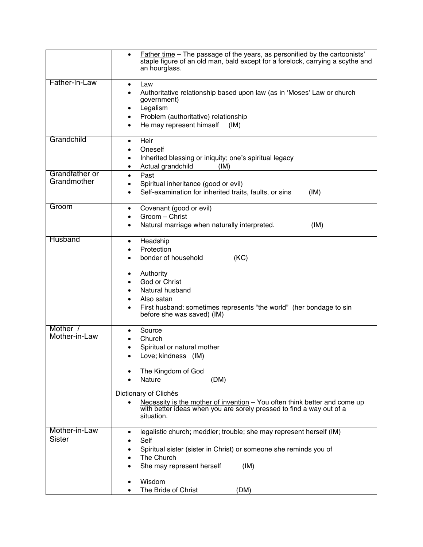|                               | Father time - The passage of the years, as personified by the cartoonists'<br>$\bullet$<br>staple figure of an old man, bald except for a forelock, carrying a scythe and<br>an hourglass.                                                                                                                 |
|-------------------------------|------------------------------------------------------------------------------------------------------------------------------------------------------------------------------------------------------------------------------------------------------------------------------------------------------------|
| Father-In-Law                 | Law<br>$\bullet$<br>Authoritative relationship based upon law (as in 'Moses' Law or church<br>$\bullet$<br>government)<br>Legalism<br>٠<br>Problem (authoritative) relationship<br>$\bullet$<br>He may represent himself<br>(IM)<br>$\bullet$                                                              |
| Grandchild                    | Heir<br>$\bullet$<br>Oneself<br>Inherited blessing or iniquity; one's spiritual legacy<br>٠<br>Actual grandchild<br>(IM)<br>٠                                                                                                                                                                              |
| Grandfather or<br>Grandmother | Past<br>$\bullet$<br>Spiritual inheritance (good or evil)<br>Self-examination for inherited traits, faults, or sins<br>(IM)<br>$\bullet$                                                                                                                                                                   |
| Groom                         | Covenant (good or evil)<br>$\bullet$<br>Groom - Christ<br>Natural marriage when naturally interpreted.<br>(IM)<br>$\bullet$                                                                                                                                                                                |
| Husband                       | Headship<br>$\bullet$<br>Protection<br>bonder of household<br>(KC)<br>Authority<br>٠<br>God or Christ<br>Natural husband<br>Also satan<br>First husband: sometimes represents "the world" (her bondage to sin<br>$\bullet$<br>before she was saved) (IM)                                                   |
| Mother /<br>Mother-in-Law     | Source<br>Church<br>Spiritual or natural mother<br>Love; kindness (IM)<br>The Kingdom of God<br>Nature<br>(DM)<br>Dictionary of Clichés<br>Necessity is the mother of invention - You often think better and come up<br>with better ideas when you are sorely pressed to find a way out of a<br>situation. |
| Mother-in-Law                 | legalistic church; meddler; trouble; she may represent herself (IM)<br>$\bullet$                                                                                                                                                                                                                           |
| <b>Sister</b>                 | Self<br>$\bullet$<br>Spiritual sister (sister in Christ) or someone she reminds you of<br>٠<br>The Church<br>She may represent herself<br>(IM)                                                                                                                                                             |
|                               | Wisdom<br>The Bride of Christ<br>(DM)                                                                                                                                                                                                                                                                      |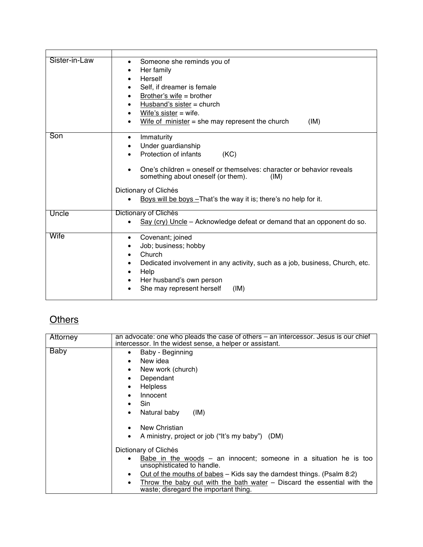| Sister-in-Law | Someone she reminds you of<br>$\bullet$<br>Her family<br>Herself<br>Self, if dreamer is female<br>Brother's wife = brother<br>Husband's sister $=$ church<br>Wife's sister $=$ wife.<br>Wife of minister $=$ she may represent the church<br>(IM)                                           |
|---------------|---------------------------------------------------------------------------------------------------------------------------------------------------------------------------------------------------------------------------------------------------------------------------------------------|
| Son           | Immaturity<br>٠<br>Under guardianship<br>Protection of infants<br>(KC)<br>One's children = oneself or themselves: character or behavior reveals<br>something about oneself (or them).<br>(IM)<br>Dictionary of Clichés<br>Boys will be boys - That's the way it is; there's no help for it. |
| Uncle         | Dictionary of Clichés<br>Say (cry) Uncle – Acknowledge defeat or demand that an opponent do so.                                                                                                                                                                                             |
| Wife          | Covenant; joined<br>$\bullet$<br>Job; business; hobby<br>Church<br>$\bullet$<br>Dedicated involvement in any activity, such as a job, business, Church, etc.<br>Help<br>Her husband's own person<br>She may represent herself<br>(IM)                                                       |

## **Others**

| Attorney | an advocate: one who pleads the case of others – an intercessor. Jesus is our chief<br>intercessor. In the widest sense, a helper or assistant. |
|----------|-------------------------------------------------------------------------------------------------------------------------------------------------|
| Baby     | Baby - Beginning<br>$\bullet$<br>New idea<br>New work (church)<br>Dependant<br><b>Helpless</b><br>Innocent<br>Sin                               |
|          | Natural baby<br>(IM)                                                                                                                            |
|          | New Christian<br>A ministry, project or job ("It's my baby") (DM)                                                                               |
|          | Dictionary of Clichés                                                                                                                           |
|          | Babe in the woods $-$ an innocent; someone in a situation he is too<br>unsophisticated to handle.                                               |
|          | Out of the mouths of babes – Kids say the darndest things. (Psalm 8:2)                                                                          |
|          | Throw the baby out with the bath water – Discard the essential with the<br>waste; disregard the important thing.                                |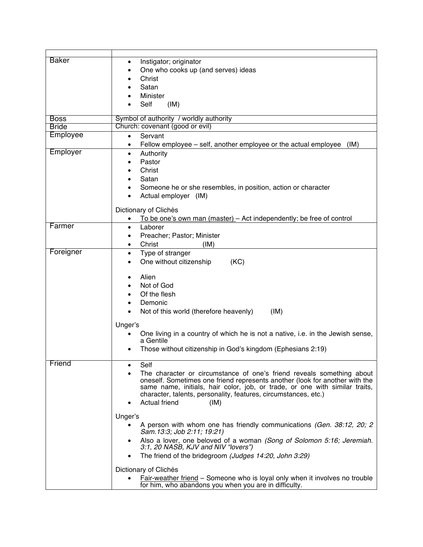| <b>Baker</b> | Instigator; originator<br>$\bullet$                                                                          |
|--------------|--------------------------------------------------------------------------------------------------------------|
|              | One who cooks up (and serves) ideas                                                                          |
|              | Christ                                                                                                       |
|              | Satan                                                                                                        |
|              | Minister                                                                                                     |
|              | Self<br>(IM)                                                                                                 |
|              |                                                                                                              |
| <b>Boss</b>  | Symbol of authority / worldly authority                                                                      |
| <b>Bride</b> | Church: covenant (good or evil)                                                                              |
| Employee     | Servant<br>$\bullet$                                                                                         |
|              | Fellow employee - self, another employee or the actual employee<br>(IM)<br>$\bullet$                         |
| Employer     | Authority<br>$\bullet$                                                                                       |
|              | Pastor                                                                                                       |
|              | Christ                                                                                                       |
|              | Satan                                                                                                        |
|              | Someone he or she resembles, in position, action or character                                                |
|              | Actual employer (IM)                                                                                         |
|              |                                                                                                              |
|              | Dictionary of Clichés                                                                                        |
|              | To be one's own man (master) – Act independently; be free of control<br>$\bullet$                            |
| Farmer       | Laborer<br>$\bullet$                                                                                         |
|              | Preacher; Pastor; Minister<br>$\bullet$                                                                      |
|              | Christ<br>(IM)<br>$\bullet$                                                                                  |
| Foreigner    | Type of stranger<br>$\bullet$                                                                                |
|              | One without citizenship<br>(KC)<br>$\bullet$                                                                 |
|              |                                                                                                              |
|              | Alien<br>$\bullet$                                                                                           |
|              | Not of God                                                                                                   |
|              | Of the flesh                                                                                                 |
|              | Demonic                                                                                                      |
|              | Not of this world (therefore heavenly)<br>(IM)                                                               |
|              |                                                                                                              |
|              | Unger's                                                                                                      |
|              | One living in a country of which he is not a native, i.e. in the Jewish sense,<br>a Gentile                  |
|              |                                                                                                              |
|              | Those without citizenship in God's kingdom (Ephesians 2:19)                                                  |
| Friend       | Self                                                                                                         |
|              | The character or circumstance of one's friend reveals something about                                        |
|              | oneself. Sometimes one friend represents another (look for another with the                                  |
|              | same name, initials, hair color, job, or trade, or one with similar traits,                                  |
|              | character, talents, personality, features, circumstances, etc.)                                              |
|              | <b>Actual friend</b><br>(IM)                                                                                 |
|              |                                                                                                              |
|              | Unger's                                                                                                      |
|              | A person with whom one has friendly communications (Gen. 38:12, 20; 2)<br>Sam. 13:3; Job 2:11; 19:21)        |
|              | Also a lover, one beloved of a woman (Song of Solomon 5:16; Jeremiah.<br>3:1, 20 NASB, KJV and NIV "lovers") |
|              | The friend of the bridegroom (Judges 14:20, John 3:29)<br>٠                                                  |
|              | Dictionary of Clichés                                                                                        |
|              | <b>Fair-weather friend</b> – Someone who is loyal only when it involves no trouble                           |
|              | for him, who abandons you when you are in difficulty.                                                        |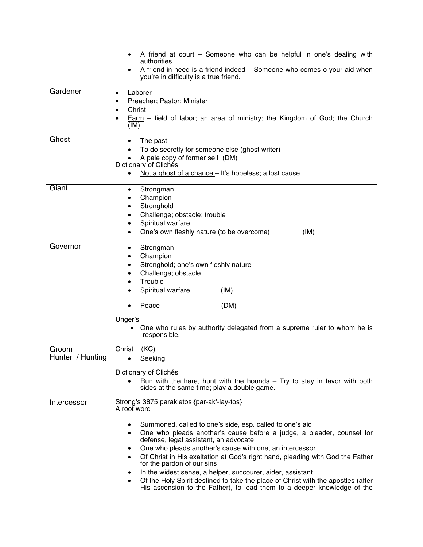|                  | A friend at court - Someone who can be helpful in one's dealing with<br>authorities.<br>A friend in need is a friend indeed - Someone who comes o your aid when<br>you're in difficulty is a true friend.                                                                                                                                                                                                                                                                                                                                                                                                                                                                     |
|------------------|-------------------------------------------------------------------------------------------------------------------------------------------------------------------------------------------------------------------------------------------------------------------------------------------------------------------------------------------------------------------------------------------------------------------------------------------------------------------------------------------------------------------------------------------------------------------------------------------------------------------------------------------------------------------------------|
| Gardener         | Laborer<br>$\bullet$<br>Preacher; Pastor; Minister<br>$\bullet$<br>Christ<br>$\bullet$<br>Farm - field of labor; an area of ministry; the Kingdom of God; the Church<br>$\bullet$<br>(IM)                                                                                                                                                                                                                                                                                                                                                                                                                                                                                     |
| Ghost            | The past<br>$\bullet$<br>To do secretly for someone else (ghost writer)<br>A pale copy of former self (DM)<br>Dictionary of Clichés<br>Not a ghost of a chance - It's hopeless; a lost cause.<br>$\bullet$                                                                                                                                                                                                                                                                                                                                                                                                                                                                    |
| Giant            | Strongman<br>٠<br>Champion<br>Stronghold<br>$\bullet$<br>Challenge; obstacle; trouble<br>Spiritual warfare<br>One's own fleshly nature (to be overcome)<br>(IM)                                                                                                                                                                                                                                                                                                                                                                                                                                                                                                               |
| Governor         | Strongman<br>$\bullet$<br>Champion<br>Stronghold; one's own fleshly nature<br>Challenge; obstacle<br>Trouble<br>Spiritual warfare<br>(IM)<br>Peace<br>(DM)<br>Unger's                                                                                                                                                                                                                                                                                                                                                                                                                                                                                                         |
|                  | One who rules by authority delegated from a supreme ruler to whom he is<br>$\bullet$<br>responsible.                                                                                                                                                                                                                                                                                                                                                                                                                                                                                                                                                                          |
| Groom            | Christ<br>(KC)                                                                                                                                                                                                                                                                                                                                                                                                                                                                                                                                                                                                                                                                |
| Hunter / Hunting | Seeking<br>Dictionary of Clichés<br><u>Run</u> with the hare, hunt with the hounds $-$ Try to stay in favor with both<br>sides at the same time; play a double game.                                                                                                                                                                                                                                                                                                                                                                                                                                                                                                          |
| Intercessor      | Strong's 3875 parakletos {par-ak'-lay-tos}<br>A root word<br>Summoned, called to one's side, esp. called to one's aid<br>One who pleads another's cause before a judge, a pleader, counsel for<br>$\bullet$<br>defense, legal assistant, an advocate<br>One who pleads another's cause with one, an intercessor<br>٠<br>Of Christ in His exaltation at God's right hand, pleading with God the Father<br>$\bullet$<br>for the pardon of our sins<br>In the widest sense, a helper, succourer, aider, assistant<br>Of the Holy Spirit destined to take the place of Christ with the apostles (after<br>His ascension to the Father), to lead them to a deeper knowledge of the |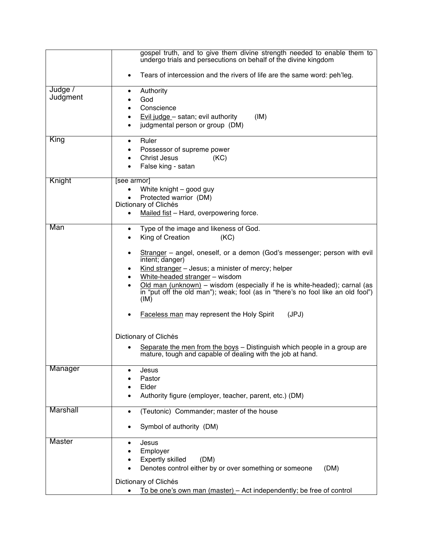|                     | gospel truth, and to give them divine strength needed to enable them to<br>undergo trials and persecutions on behalf of the divine kingdom                                                                                                                                                                                                                                                                                                                                                                                                                                                                                                                                               |
|---------------------|------------------------------------------------------------------------------------------------------------------------------------------------------------------------------------------------------------------------------------------------------------------------------------------------------------------------------------------------------------------------------------------------------------------------------------------------------------------------------------------------------------------------------------------------------------------------------------------------------------------------------------------------------------------------------------------|
|                     | Tears of intercession and the rivers of life are the same word: peh'leg.<br>$\bullet$                                                                                                                                                                                                                                                                                                                                                                                                                                                                                                                                                                                                    |
| Judge /<br>Judgment | Authority<br>$\bullet$<br>God<br>Conscience<br>Evil judge - satan; evil authority<br>(IM)<br>judgmental person or group (DM)                                                                                                                                                                                                                                                                                                                                                                                                                                                                                                                                                             |
| King                | Ruler<br>$\bullet$<br>Possessor of supreme power<br><b>Christ Jesus</b><br>(KC)<br>False king - satan                                                                                                                                                                                                                                                                                                                                                                                                                                                                                                                                                                                    |
| Knight              | [see armor]<br>White knight - good guy<br>Protected warrior (DM)<br>Dictionary of Clichés<br>Mailed fist - Hard, overpowering force.                                                                                                                                                                                                                                                                                                                                                                                                                                                                                                                                                     |
| Man                 | Type of the image and likeness of God.<br>$\bullet$<br>King of Creation<br>(KC)<br>Stranger - angel, oneself, or a demon (God's messenger; person with evil<br>$\bullet$<br>intent; danger)<br>Kind stranger $-$ Jesus; a minister of mercy; helper<br>White-headed stranger - wisdom<br>Old man (unknown) - wisdom (especially if he is white-headed); carnal (as<br>in "put off the old man"); weak; fool (as in "there's no fool like an old fool")<br>(IM)<br>Faceless man may represent the Holy Spirit<br>(JPJ)<br>Dictionary of Clichés<br>Separate the men from the boys - Distinguish which people in a group are<br>mature, tough and capable of dealing with the job at hand. |
| Manager             | Jesus<br>Pastor<br>Elder<br>Authority figure (employer, teacher, parent, etc.) (DM)                                                                                                                                                                                                                                                                                                                                                                                                                                                                                                                                                                                                      |
| <b>Marshall</b>     | (Teutonic) Commander; master of the house<br>Symbol of authority (DM)                                                                                                                                                                                                                                                                                                                                                                                                                                                                                                                                                                                                                    |
| <b>Master</b>       | Jesus<br>Employer<br><b>Expertly skilled</b><br>(DM)<br>Denotes control either by or over something or someone<br>(DM)<br>Dictionary of Clichés<br>To be one's own man (master) - Act independently; be free of control                                                                                                                                                                                                                                                                                                                                                                                                                                                                  |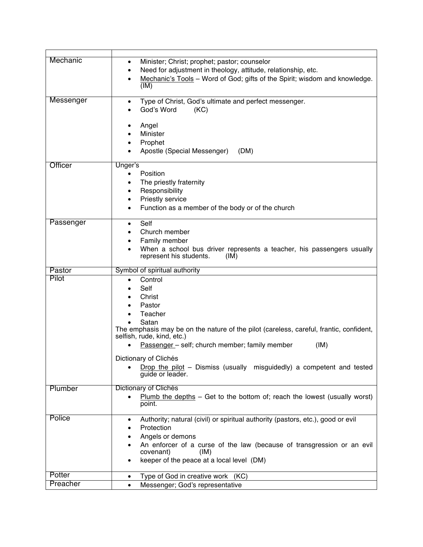| Mechanic<br>Minister; Christ; prophet; pastor; counselor<br>$\bullet$<br>Need for adjustment in theology, attitude, relationship, etc.<br>$\bullet$ |  |
|-----------------------------------------------------------------------------------------------------------------------------------------------------|--|
|                                                                                                                                                     |  |
|                                                                                                                                                     |  |
| Mechanic's Tools - Word of God; gifts of the Spirit; wisdom and knowledge.                                                                          |  |
| (IM)                                                                                                                                                |  |
| Messenger<br>Type of Christ, God's ultimate and perfect messenger.                                                                                  |  |
| God's Word<br>(KC)                                                                                                                                  |  |
|                                                                                                                                                     |  |
| Angel                                                                                                                                               |  |
| Minister                                                                                                                                            |  |
| Prophet                                                                                                                                             |  |
| Apostle (Special Messenger)<br>(DM)                                                                                                                 |  |
| Officer<br>Unger's                                                                                                                                  |  |
| Position<br>$\bullet$                                                                                                                               |  |
| The priestly fraternity<br>$\bullet$                                                                                                                |  |
| Responsibility<br>$\bullet$                                                                                                                         |  |
| Priestly service<br>$\bullet$                                                                                                                       |  |
| Function as a member of the body or of the church<br>$\bullet$                                                                                      |  |
| Passenger<br>Self<br>$\bullet$                                                                                                                      |  |
| Church member                                                                                                                                       |  |
| Family member<br>$\bullet$                                                                                                                          |  |
| When a school bus driver represents a teacher, his passengers usually                                                                               |  |
| represent his students.<br>(IM)                                                                                                                     |  |
| Symbol of spiritual authority<br>Pastor                                                                                                             |  |
| Pilot<br>Control                                                                                                                                    |  |
| Self                                                                                                                                                |  |
| Christ                                                                                                                                              |  |
| Pastor                                                                                                                                              |  |
| Teacher                                                                                                                                             |  |
| Satan<br>The emphasis may be on the nature of the pilot (careless, careful, frantic, confident,                                                     |  |
| selfish, rude, kind, etc.)                                                                                                                          |  |
| Passenger - self; church member; family member<br>(IM)                                                                                              |  |
| Dictionary of Clichés                                                                                                                               |  |
| Drop the pilot - Dismiss (usually misguidedly) a competent and tested                                                                               |  |
| guide or leader.                                                                                                                                    |  |
| Plumber<br>Dictionary of Clichés                                                                                                                    |  |
| Plumb the depths $-$ Get to the bottom of; reach the lowest (usually worst)                                                                         |  |
| point.                                                                                                                                              |  |
| Police<br>Authority; natural (civil) or spiritual authority (pastors, etc.), good or evil                                                           |  |
| Protection                                                                                                                                          |  |
| Angels or demons                                                                                                                                    |  |
| An enforcer of a curse of the law (because of transgression or an evil                                                                              |  |
| covenant)<br>(IM)                                                                                                                                   |  |
|                                                                                                                                                     |  |
| keeper of the peace at a local level (DM)                                                                                                           |  |
| Potter<br>Type of God in creative work (KC)<br>$\bullet$                                                                                            |  |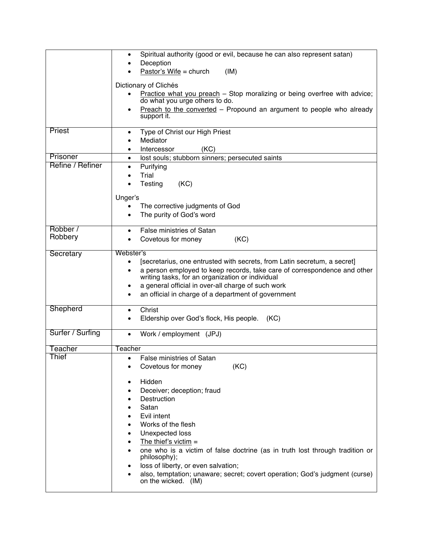|                  | Spiritual authority (good or evil, because he can also represent satan)<br>$\bullet$<br>Deception                                                                                                                                                                                                                           |
|------------------|-----------------------------------------------------------------------------------------------------------------------------------------------------------------------------------------------------------------------------------------------------------------------------------------------------------------------------|
|                  | Pastor's Wife = church<br>(IM)                                                                                                                                                                                                                                                                                              |
|                  | Dictionary of Clichés                                                                                                                                                                                                                                                                                                       |
|                  | Practice what you preach - Stop moralizing or being overfree with advice;<br>do what you urge others to do.                                                                                                                                                                                                                 |
|                  | Preach to the converted - Propound an argument to people who already<br>٠<br>support it.                                                                                                                                                                                                                                    |
| Priest           | Type of Christ our High Priest<br>Mediator                                                                                                                                                                                                                                                                                  |
| Prisoner         | (KC)<br>Intercessor                                                                                                                                                                                                                                                                                                         |
| Refine / Refiner | lost souls; stubborn sinners; persecuted saints<br>$\bullet$<br>Purifying<br>٠                                                                                                                                                                                                                                              |
|                  | Trial                                                                                                                                                                                                                                                                                                                       |
|                  | Testing<br>(KC)                                                                                                                                                                                                                                                                                                             |
|                  | Unger's                                                                                                                                                                                                                                                                                                                     |
|                  | The corrective judgments of God                                                                                                                                                                                                                                                                                             |
|                  | The purity of God's word                                                                                                                                                                                                                                                                                                    |
| Robber /         | <b>False ministries of Satan</b>                                                                                                                                                                                                                                                                                            |
| Robbery          | (KC)<br>Covetous for money                                                                                                                                                                                                                                                                                                  |
| Secretary        | Webster's                                                                                                                                                                                                                                                                                                                   |
|                  | [secretarius, one entrusted with secrets, from Latin secretum, a secret]                                                                                                                                                                                                                                                    |
|                  | a person employed to keep records, take care of correspondence and other<br>writing tasks, for an organization or individual                                                                                                                                                                                                |
|                  | a general official in over-all charge of such work                                                                                                                                                                                                                                                                          |
|                  | an official in charge of a department of government                                                                                                                                                                                                                                                                         |
| Shepherd         | Christ                                                                                                                                                                                                                                                                                                                      |
|                  | Eldership over God's flock, His people. (KC)                                                                                                                                                                                                                                                                                |
| Surfer / Surfing | Work / employment (JPJ)<br>$\bullet$                                                                                                                                                                                                                                                                                        |
| Teacher          | Teacher                                                                                                                                                                                                                                                                                                                     |
|                  | <b>False ministries of Satan</b>                                                                                                                                                                                                                                                                                            |
|                  |                                                                                                                                                                                                                                                                                                                             |
|                  | Hidden                                                                                                                                                                                                                                                                                                                      |
|                  |                                                                                                                                                                                                                                                                                                                             |
|                  |                                                                                                                                                                                                                                                                                                                             |
|                  |                                                                                                                                                                                                                                                                                                                             |
|                  |                                                                                                                                                                                                                                                                                                                             |
|                  | Unexpected loss                                                                                                                                                                                                                                                                                                             |
|                  | The thief's victim $=$                                                                                                                                                                                                                                                                                                      |
|                  | philosophy);                                                                                                                                                                                                                                                                                                                |
|                  |                                                                                                                                                                                                                                                                                                                             |
|                  | on the wicked. (IM)                                                                                                                                                                                                                                                                                                         |
| Thief            | (KC)<br>Covetous for money<br>Deceiver; deception; fraud<br>Destruction<br>Satan<br>Evil intent<br>Works of the flesh<br>one who is a victim of false doctrine (as in truth lost through tradition or<br>loss of liberty, or even salvation;<br>also, temptation; unaware; secret; covert operation; God's judgment (curse) |